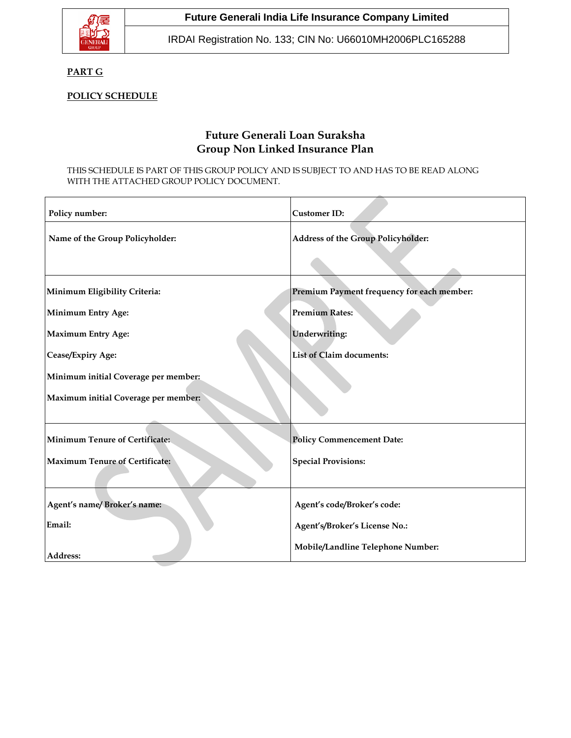

IRDAI Registration No. 133; CIN No: U66010MH2006PLC165288

# **PART G**

# **POLICY SCHEDULE**

# **Future Generali Loan Suraksha Group Non Linked Insurance Plan**

#### THIS SCHEDULE IS PART OF THIS GROUP POLICY AND IS SUBJECT TO AND HAS TO BE READ ALONG WITH THE ATTACHED GROUP POLICY DOCUMENT.

| Policy number:                        | <b>Customer ID:</b>                        |
|---------------------------------------|--------------------------------------------|
| Name of the Group Policyholder:       | <b>Address of the Group Policyholder:</b>  |
|                                       |                                            |
| Minimum Eligibility Criteria:         | Premium Payment frequency for each member: |
| <b>Minimum Entry Age:</b>             | <b>Premium Rates:</b>                      |
| <b>Maximum Entry Age:</b>             | Underwriting:                              |
| Cease/Expiry Age:                     | <b>List of Claim documents:</b>            |
| Minimum initial Coverage per member:  |                                            |
| Maximum initial Coverage per member:  |                                            |
| <b>Minimum Tenure of Certificate:</b> | <b>Policy Commencement Date:</b>           |
| <b>Maximum Tenure of Certificate:</b> | <b>Special Provisions:</b>                 |
|                                       |                                            |
| Agent's name/Broker's name:           | Agent's code/Broker's code:                |
| Email:                                | Agent's/Broker's License No.:              |
| Address:                              | Mobile/Landline Telephone Number:          |